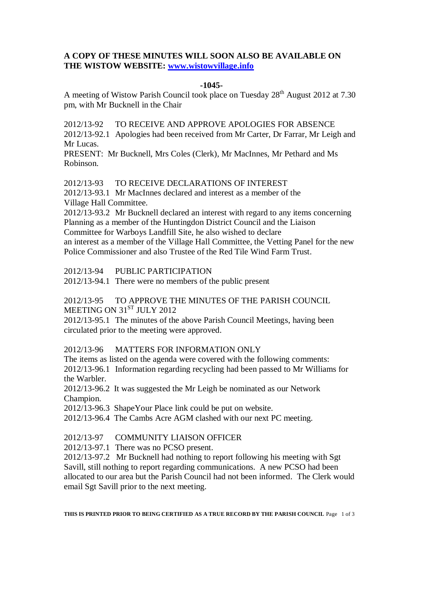# **A COPY OF THESE MINUTES WILL SOON ALSO BE AVAILABLE ON THE WISTOW WEBSITE: [www.wistowvillage.info](http://www.wistowvillage.info/)**

## **-1045-**

A meeting of Wistow Parish Council took place on Tuesday  $28<sup>th</sup>$  August 2012 at 7.30 pm, with Mr Bucknell in the Chair

2012/13-92 TO RECEIVE AND APPROVE APOLOGIES FOR ABSENCE

2012/13-92.1 Apologies had been received from Mr Carter, Dr Farrar, Mr Leigh and Mr Lucas.

PRESENT: Mr Bucknell, Mrs Coles (Clerk), Mr MacInnes, Mr Pethard and Ms Robinson.

2012/13-93 TO RECEIVE DECLARATIONS OF INTEREST

2012/13-93.1 Mr MacInnes declared and interest as a member of the Village Hall Committee.

2012/13-93.2 Mr Bucknell declared an interest with regard to any items concerning Planning as a member of the Huntingdon District Council and the Liaison Committee for Warboys Landfill Site, he also wished to declare an interest as a member of the Village Hall Committee, the Vetting Panel for the new Police Commissioner and also Trustee of the Red Tile Wind Farm Trust.

2012/13-94 PUBLIC PARTICIPATION

2012/13-94.1 There were no members of the public present

2012/13-95 TO APPROVE THE MINUTES OF THE PARISH COUNCIL MEETING ON 31ST JULY 2012

2012/13-95.1 The minutes of the above Parish Council Meetings, having been circulated prior to the meeting were approved.

2012/13-96 MATTERS FOR INFORMATION ONLY

The items as listed on the agenda were covered with the following comments: 2012/13-96.1 Information regarding recycling had been passed to Mr Williams for the Warbler.

2012/13-96.2 It was suggested the Mr Leigh be nominated as our Network Champion.

2012/13-96.3 ShapeYour Place link could be put on website.

2012/13-96.4 The Cambs Acre AGM clashed with our next PC meeting.

2012/13-97 COMMUNITY LIAISON OFFICER

2012/13-97.1 There was no PCSO present.

2012/13-97.2 Mr Bucknell had nothing to report following his meeting with Sgt Savill, still nothing to report regarding communications. A new PCSO had been allocated to our area but the Parish Council had not been informed. The Clerk would email Sgt Savill prior to the next meeting.

**THIS IS PRINTED PRIOR TO BEING CERTIFIED AS A TRUE RECORD BY THE PARISH COUNCIL** Page 1 of 3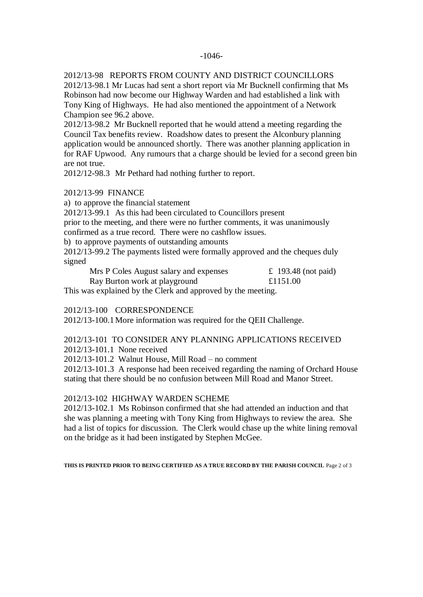#### -1046-

## 2012/13-98 REPORTS FROM COUNTY AND DISTRICT COUNCILLORS

2012/13-98.1 Mr Lucas had sent a short report via Mr Bucknell confirming that Ms Robinson had now become our Highway Warden and had established a link with Tony King of Highways. He had also mentioned the appointment of a Network Champion see 96.2 above.

2012/13-98.2 Mr Bucknell reported that he would attend a meeting regarding the Council Tax benefits review. Roadshow dates to present the Alconbury planning application would be announced shortly. There was another planning application in for RAF Upwood. Any rumours that a charge should be levied for a second green bin are not true.

2012/12-98.3 Mr Pethard had nothing further to report.

#### 2012/13-99 FINANCE

a) to approve the financial statement

2012/13-99.1 As this had been circulated to Councillors present

prior to the meeting, and there were no further comments, it was unanimously

confirmed as a true record. There were no cashflow issues.

b) to approve payments of outstanding amounts

2012/13-99.2 The payments listed were formally approved and the cheques duly signed

| Mrs P Coles August salary and expenses | £ 193.48 (not paid) |
|----------------------------------------|---------------------|
| Ray Burton work at playground          | £1151.00            |

This was explained by the Clerk and approved by the meeting.

2012/13-100 CORRESPONDENCE

2012/13-100.1More information was required for the QEII Challenge.

# 2012/13-101 TO CONSIDER ANY PLANNING APPLICATIONS RECEIVED

2012/13-101.1 None received

2012/13-101.2 Walnut House, Mill Road – no comment

2012/13-101.3 A response had been received regarding the naming of Orchard House stating that there should be no confusion between Mill Road and Manor Street.

#### 2012/13-102 HIGHWAY WARDEN SCHEME

2012/13-102.1 Ms Robinson confirmed that she had attended an induction and that she was planning a meeting with Tony King from Highways to review the area. She had a list of topics for discussion. The Clerk would chase up the white lining removal on the bridge as it had been instigated by Stephen McGee.

**THIS IS PRINTED PRIOR TO BEING CERTIFIED AS A TRUE RECORD BY THE PARISH COUNCIL** Page 2 of 3